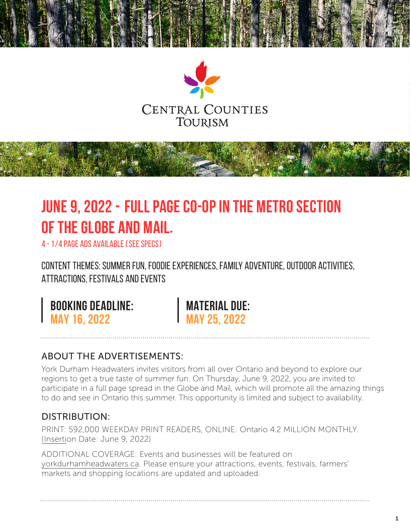

## **JUNE 9, 2022 - Full page co-op in the Metro Section of the Globe and Mail.**

4 - 1/4 PAGE ADS AVAILABLE ( SEE SPECS)

CONTENT THEMES: Summer Fun, Foodie Experiences, Family Adventure, Outdoor Activities, Attractions, Festivals and Events

**BOOKING DEADLINE:**<br>MAY 16, 2022

**MAY 16, 2022 MAY 25, 2022**

### ABOUT THE ADVERTISEMENTS:

York Durham Headwaters invites visitors from all over Ontario and beyond to explore our regions to get a true taste of summer fun. On Thursday, June 9, 2022, you are invited to participate in a full page spread in the Globe and Mail, which will promote all the amazing things to do and see in Ontario this summer. This opportunity is limited and subject to availability.

### DISTRIBUTION:

PRINT: 592,000 WEEKDAY PRINT READERS, ONLINE: Ontario 4.2 MILLION MONTHLY. (Insertion Date: June 9, 2022)

ADDITIONAL COVERAGE: Events and businesses will be featured on yorkdurhamheadwaters.ca. Please ensure your attractions, events, festivals, farmers' markets and shopping locations are updated and uploaded.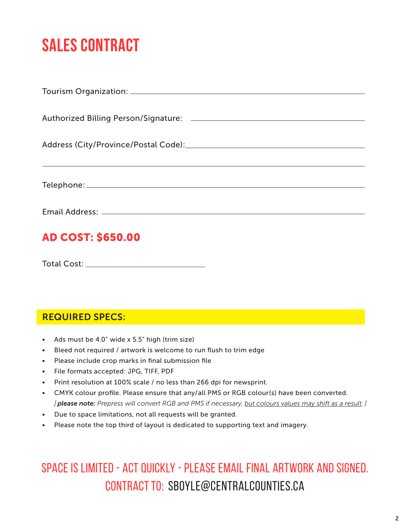# **SALES CONTRACT**

| <b>AD COST: \$650.00</b> |
|--------------------------|

Total Cost:

### REQUIRED SPECS:

- Ads must be 4.0" wide x 5.5" high (trim size)
- Bleed not required / artwork is welcome to run flush to trim edge
- Please include crop marks in final submission file
- File formats accepted: JPG, TIFF, PDF
- Print resolution at 100% scale / no less than 266 dpi for newsprint.
- CMYK colour profile. Please ensure that any/all PMS or RGB colour(s) have been converted. *[ please note: Prepress will convert RGB and PMS if necessary, but colours values may shift as a result. ]*
- Due to space limitations, not all requests will be granted.
- Please note the top third of layout is dedicated to supporting text and imagery.

### SPACE IS LIMITED - ACT QUICKLY - Please email final artwork AND signed. Contract to: sboyle@centralcounties.ca